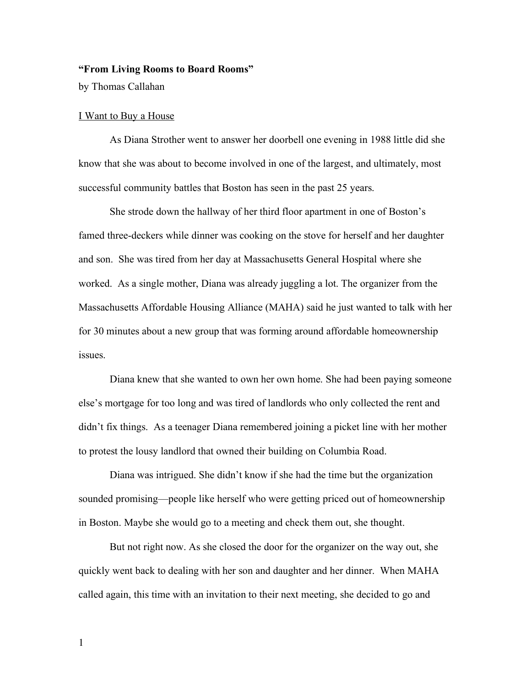## **"From Living Rooms to Board Rooms"**

by Thomas Callahan

### I Want to Buy a House

As Diana Strother went to answer her doorbell one evening in 1988 little did she know that she was about to become involved in one of the largest, and ultimately, most successful community battles that Boston has seen in the past 25 years.

She strode down the hallway of her third floor apartment in one of Boston's famed three-deckers while dinner was cooking on the stove for herself and her daughter and son. She was tired from her day at Massachusetts General Hospital where she worked. As a single mother, Diana was already juggling a lot. The organizer from the Massachusetts Affordable Housing Alliance (MAHA) said he just wanted to talk with her for 30 minutes about a new group that was forming around affordable homeownership issues.

Diana knew that she wanted to own her own home. She had been paying someone else's mortgage for too long and was tired of landlords who only collected the rent and didn't fix things. As a teenager Diana remembered joining a picket line with her mother to protest the lousy landlord that owned their building on Columbia Road.

Diana was intrigued. She didn't know if she had the time but the organization sounded promising—people like herself who were getting priced out of homeownership in Boston. Maybe she would go to a meeting and check them out, she thought.

But not right now. As she closed the door for the organizer on the way out, she quickly went back to dealing with her son and daughter and her dinner. When MAHA called again, this time with an invitation to their next meeting, she decided to go and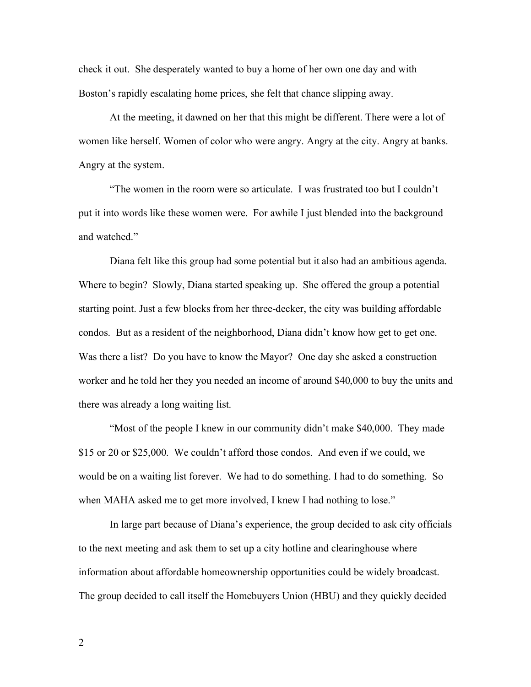check it out. She desperately wanted to buy a home of her own one day and with Boston's rapidly escalating home prices, she felt that chance slipping away.

At the meeting, it dawned on her that this might be different. There were a lot of women like herself. Women of color who were angry. Angry at the city. Angry at banks. Angry at the system.

"The women in the room were so articulate. I was frustrated too but I couldn't put it into words like these women were. For awhile I just blended into the background and watched."

Diana felt like this group had some potential but it also had an ambitious agenda. Where to begin? Slowly, Diana started speaking up. She offered the group a potential starting point. Just a few blocks from her three-decker, the city was building affordable condos. But as a resident of the neighborhood, Diana didn't know how get to get one. Was there a list? Do you have to know the Mayor? One day she asked a construction worker and he told her they you needed an income of around \$40,000 to buy the units and there was already a long waiting list.

"Most of the people I knew in our community didn't make \$40,000. They made \$15 or 20 or \$25,000. We couldn't afford those condos. And even if we could, we would be on a waiting list forever. We had to do something. I had to do something. So when MAHA asked me to get more involved, I knew I had nothing to lose."

In large part because of Diana's experience, the group decided to ask city officials to the next meeting and ask them to set up a city hotline and clearinghouse where information about affordable homeownership opportunities could be widely broadcast. The group decided to call itself the Homebuyers Union (HBU) and they quickly decided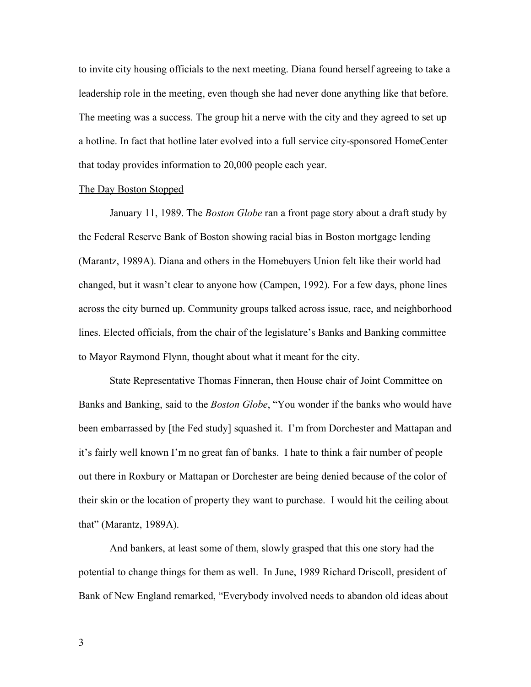to invite city housing officials to the next meeting. Diana found herself agreeing to take a leadership role in the meeting, even though she had never done anything like that before. The meeting was a success. The group hit a nerve with the city and they agreed to set up a hotline. In fact that hotline later evolved into a full service city-sponsored HomeCenter that today provides information to 20,000 people each year.

## The Day Boston Stopped

January 11, 1989. The *Boston Globe* ran a front page story about a draft study by the Federal Reserve Bank of Boston showing racial bias in Boston mortgage lending (Marantz, 1989A). Diana and others in the Homebuyers Union felt like their world had changed, but it wasn't clear to anyone how (Campen, 1992). For a few days, phone lines across the city burned up. Community groups talked across issue, race, and neighborhood lines. Elected officials, from the chair of the legislature's Banks and Banking committee to Mayor Raymond Flynn, thought about what it meant for the city.

State Representative Thomas Finneran, then House chair of Joint Committee on Banks and Banking, said to the *Boston Globe*, "You wonder if the banks who would have been embarrassed by [the Fed study] squashed it. I'm from Dorchester and Mattapan and it's fairly well known I'm no great fan of banks. I hate to think a fair number of people out there in Roxbury or Mattapan or Dorchester are being denied because of the color of their skin or the location of property they want to purchase. I would hit the ceiling about that" (Marantz, 1989A).

And bankers, at least some of them, slowly grasped that this one story had the potential to change things for them as well. In June, 1989 Richard Driscoll, president of Bank of New England remarked, "Everybody involved needs to abandon old ideas about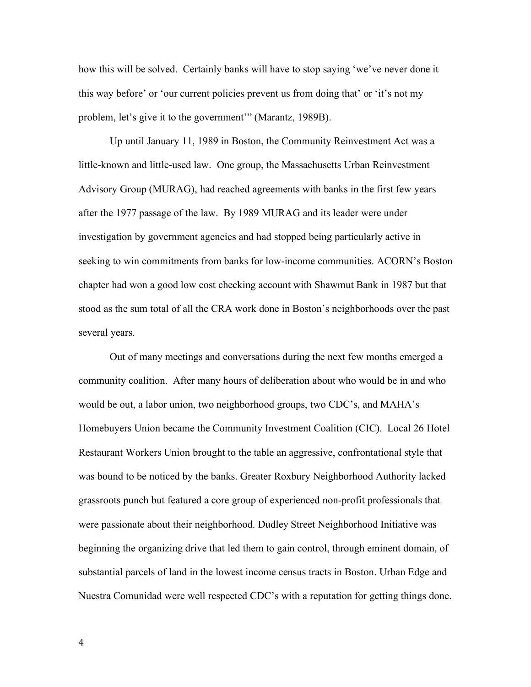how this will be solved. Certainly banks will have to stop saying 'we've never done it this way before' or 'our current policies prevent us from doing that' or 'it's not my problem, let's give it to the government'" (Marantz, 1989B).

Up until January 11, 1989 in Boston, the Community Reinvestment Act was a little-known and little-used law. One group, the Massachusetts Urban Reinvestment Advisory Group (MURAG), had reached agreements with banks in the first few years after the 1977 passage of the law. By 1989 MURAG and its leader were under investigation by government agencies and had stopped being particularly active in seeking to win commitments from banks for low-income communities. ACORN's Boston chapter had won a good low cost checking account with Shawmut Bank in 1987 but that stood as the sum total of all the CRA work done in Boston's neighborhoods over the past several years.

Out of many meetings and conversations during the next few months emerged a community coalition. After many hours of deliberation about who would be in and who would be out, a labor union, two neighborhood groups, two CDC's, and MAHA's Homebuyers Union became the Community Investment Coalition (CIC). Local 26 Hotel Restaurant Workers Union brought to the table an aggressive, confrontational style that was bound to be noticed by the banks. Greater Roxbury Neighborhood Authority lacked grassroots punch but featured a core group of experienced non-profit professionals that were passionate about their neighborhood. Dudley Street Neighborhood Initiative was beginning the organizing drive that led them to gain control, through eminent domain, of substantial parcels of land in the lowest income census tracts in Boston. Urban Edge and Nuestra Comunidad were well respected CDC's with a reputation for getting things done.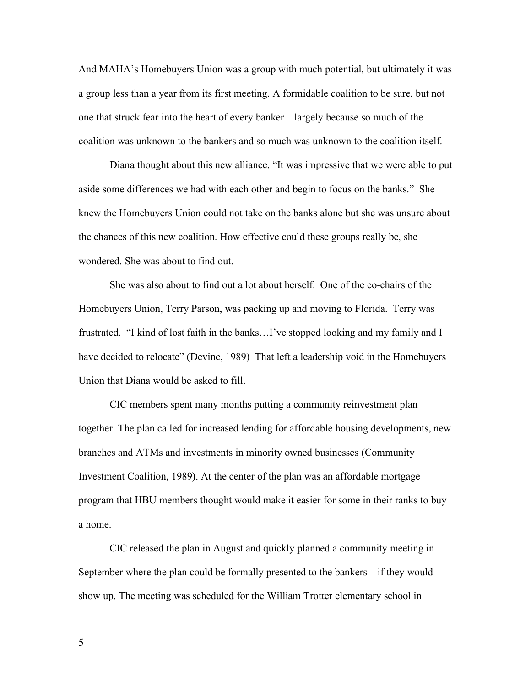And MAHA's Homebuyers Union was a group with much potential, but ultimately it was a group less than a year from its first meeting. A formidable coalition to be sure, but not one that struck fear into the heart of every banker—largely because so much of the coalition was unknown to the bankers and so much was unknown to the coalition itself.

Diana thought about this new alliance. "It was impressive that we were able to put aside some differences we had with each other and begin to focus on the banks." She knew the Homebuyers Union could not take on the banks alone but she was unsure about the chances of this new coalition. How effective could these groups really be, she wondered. She was about to find out.

She was also about to find out a lot about herself. One of the co-chairs of the Homebuyers Union, Terry Parson, was packing up and moving to Florida. Terry was frustrated. "I kind of lost faith in the banks…I've stopped looking and my family and I have decided to relocate" (Devine, 1989) That left a leadership void in the Homebuyers Union that Diana would be asked to fill.

CIC members spent many months putting a community reinvestment plan together. The plan called for increased lending for affordable housing developments, new branches and ATMs and investments in minority owned businesses (Community Investment Coalition, 1989). At the center of the plan was an affordable mortgage program that HBU members thought would make it easier for some in their ranks to buy a home.

CIC released the plan in August and quickly planned a community meeting in September where the plan could be formally presented to the bankers—if they would show up. The meeting was scheduled for the William Trotter elementary school in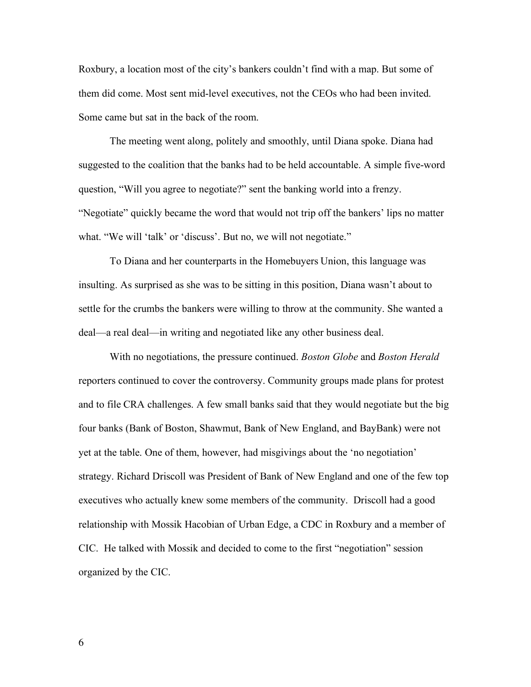Roxbury, a location most of the city's bankers couldn't find with a map. But some of them did come. Most sent mid-level executives, not the CEOs who had been invited. Some came but sat in the back of the room.

The meeting went along, politely and smoothly, until Diana spoke. Diana had suggested to the coalition that the banks had to be held accountable. A simple five-word question, "Will you agree to negotiate?" sent the banking world into a frenzy. "Negotiate" quickly became the word that would not trip off the bankers' lips no matter what. "We will 'talk' or 'discuss'. But no, we will not negotiate."

To Diana and her counterparts in the Homebuyers Union, this language was insulting. As surprised as she was to be sitting in this position, Diana wasn't about to settle for the crumbs the bankers were willing to throw at the community. She wanted a deal—a real deal—in writing and negotiated like any other business deal.

With no negotiations, the pressure continued. *Boston Globe* and *Boston Herald* reporters continued to cover the controversy. Community groups made plans for protest and to file CRA challenges. A few small banks said that they would negotiate but the big four banks (Bank of Boston, Shawmut, Bank of New England, and BayBank) were not yet at the table. One of them, however, had misgivings about the 'no negotiation' strategy. Richard Driscoll was President of Bank of New England and one of the few top executives who actually knew some members of the community. Driscoll had a good relationship with Mossik Hacobian of Urban Edge, a CDC in Roxbury and a member of CIC. He talked with Mossik and decided to come to the first "negotiation" session organized by the CIC.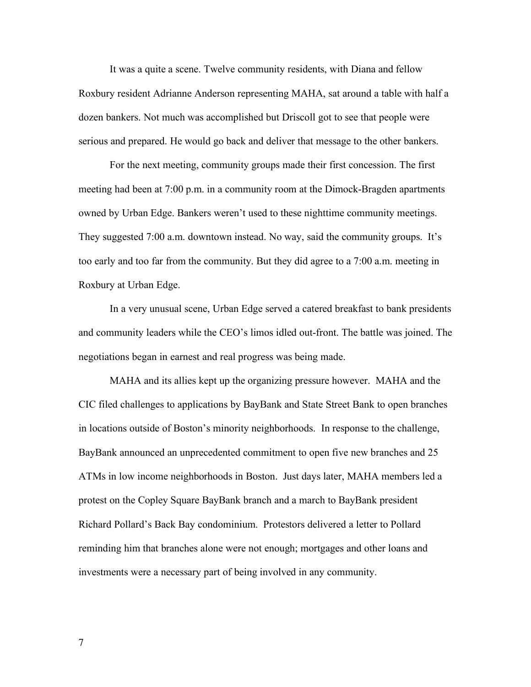It was a quite a scene. Twelve community residents, with Diana and fellow Roxbury resident Adrianne Anderson representing MAHA, sat around a table with half a dozen bankers. Not much was accomplished but Driscoll got to see that people were serious and prepared. He would go back and deliver that message to the other bankers.

For the next meeting, community groups made their first concession. The first meeting had been at 7:00 p.m. in a community room at the Dimock-Bragden apartments owned by Urban Edge. Bankers weren't used to these nighttime community meetings. They suggested 7:00 a.m. downtown instead. No way, said the community groups. It's too early and too far from the community. But they did agree to a 7:00 a.m. meeting in Roxbury at Urban Edge.

In a very unusual scene, Urban Edge served a catered breakfast to bank presidents and community leaders while the CEO's limos idled out-front. The battle was joined. The negotiations began in earnest and real progress was being made.

MAHA and its allies kept up the organizing pressure however. MAHA and the CIC filed challenges to applications by BayBank and State Street Bank to open branches in locations outside of Boston's minority neighborhoods. In response to the challenge, BayBank announced an unprecedented commitment to open five new branches and 25 ATMs in low income neighborhoods in Boston. Just days later, MAHA members led a protest on the Copley Square BayBank branch and a march to BayBank president Richard Pollard's Back Bay condominium. Protestors delivered a letter to Pollard reminding him that branches alone were not enough; mortgages and other loans and investments were a necessary part of being involved in any community.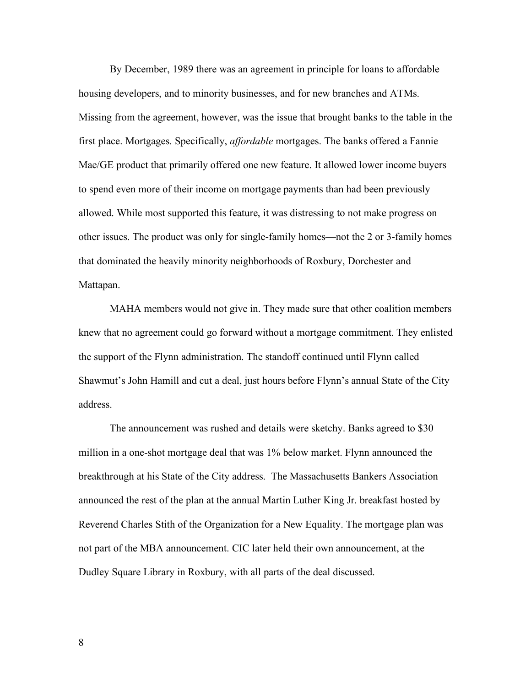By December, 1989 there was an agreement in principle for loans to affordable housing developers, and to minority businesses, and for new branches and ATMs. Missing from the agreement, however, was the issue that brought banks to the table in the first place. Mortgages. Specifically, *affordable* mortgages. The banks offered a Fannie Mae/GE product that primarily offered one new feature. It allowed lower income buyers to spend even more of their income on mortgage payments than had been previously allowed. While most supported this feature, it was distressing to not make progress on other issues. The product was only for single-family homes—not the 2 or 3-family homes that dominated the heavily minority neighborhoods of Roxbury, Dorchester and Mattapan.

MAHA members would not give in. They made sure that other coalition members knew that no agreement could go forward without a mortgage commitment. They enlisted the support of the Flynn administration. The standoff continued until Flynn called Shawmut's John Hamill and cut a deal, just hours before Flynn's annual State of the City address.

The announcement was rushed and details were sketchy. Banks agreed to \$30 million in a one-shot mortgage deal that was 1% below market. Flynn announced the breakthrough at his State of the City address. The Massachusetts Bankers Association announced the rest of the plan at the annual Martin Luther King Jr. breakfast hosted by Reverend Charles Stith of the Organization for a New Equality. The mortgage plan was not part of the MBA announcement. CIC later held their own announcement, at the Dudley Square Library in Roxbury, with all parts of the deal discussed.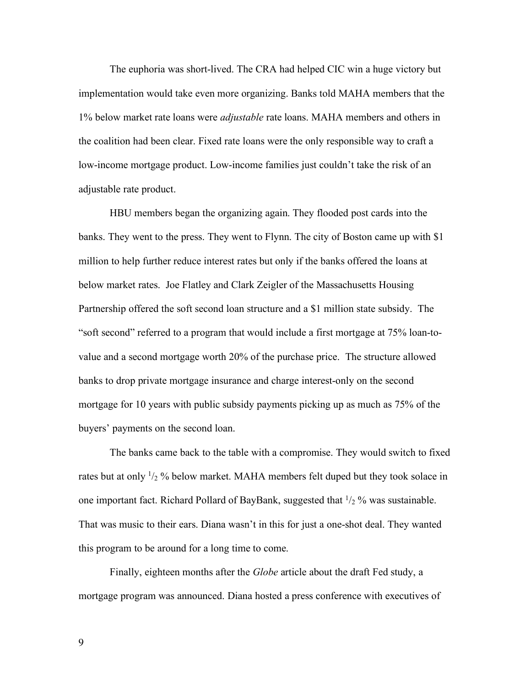The euphoria was short-lived. The CRA had helped CIC win a huge victory but implementation would take even more organizing. Banks told MAHA members that the 1% below market rate loans were *adjustable* rate loans. MAHA members and others in the coalition had been clear. Fixed rate loans were the only responsible way to craft a low-income mortgage product. Low-income families just couldn't take the risk of an adjustable rate product.

HBU members began the organizing again. They flooded post cards into the banks. They went to the press. They went to Flynn. The city of Boston came up with \$1 million to help further reduce interest rates but only if the banks offered the loans at below market rates. Joe Flatley and Clark Zeigler of the Massachusetts Housing Partnership offered the soft second loan structure and a \$1 million state subsidy. The "soft second" referred to a program that would include a first mortgage at 75% loan-tovalue and a second mortgage worth 20% of the purchase price. The structure allowed banks to drop private mortgage insurance and charge interest-only on the second mortgage for 10 years with public subsidy payments picking up as much as 75% of the buyers' payments on the second loan.

The banks came back to the table with a compromise. They would switch to fixed rates but at only  $\frac{1}{2}$  % below market. MAHA members felt duped but they took solace in one important fact. Richard Pollard of BayBank, suggested that  $\frac{1}{2}$ % was sustainable. That was music to their ears. Diana wasn't in this for just a one-shot deal. They wanted this program to be around for a long time to come.

Finally, eighteen months after the *Globe* article about the draft Fed study, a mortgage program was announced. Diana hosted a press conference with executives of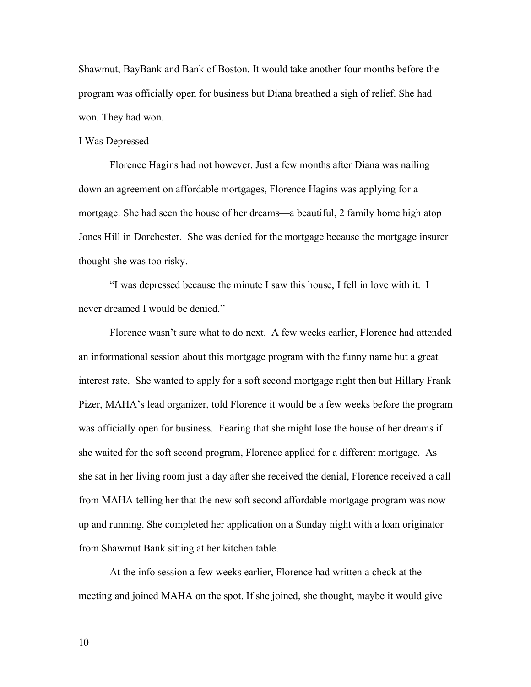Shawmut, BayBank and Bank of Boston. It would take another four months before the program was officially open for business but Diana breathed a sigh of relief. She had won. They had won.

### I Was Depressed

Florence Hagins had not however. Just a few months after Diana was nailing down an agreement on affordable mortgages, Florence Hagins was applying for a mortgage. She had seen the house of her dreams—a beautiful, 2 family home high atop Jones Hill in Dorchester. She was denied for the mortgage because the mortgage insurer thought she was too risky.

"I was depressed because the minute I saw this house, I fell in love with it. I never dreamed I would be denied."

Florence wasn't sure what to do next. A few weeks earlier, Florence had attended an informational session about this mortgage program with the funny name but a great interest rate. She wanted to apply for a soft second mortgage right then but Hillary Frank Pizer, MAHA's lead organizer, told Florence it would be a few weeks before the program was officially open for business. Fearing that she might lose the house of her dreams if she waited for the soft second program, Florence applied for a different mortgage. As she sat in her living room just a day after she received the denial, Florence received a call from MAHA telling her that the new soft second affordable mortgage program was now up and running. She completed her application on a Sunday night with a loan originator from Shawmut Bank sitting at her kitchen table.

At the info session a few weeks earlier, Florence had written a check at the meeting and joined MAHA on the spot. If she joined, she thought, maybe it would give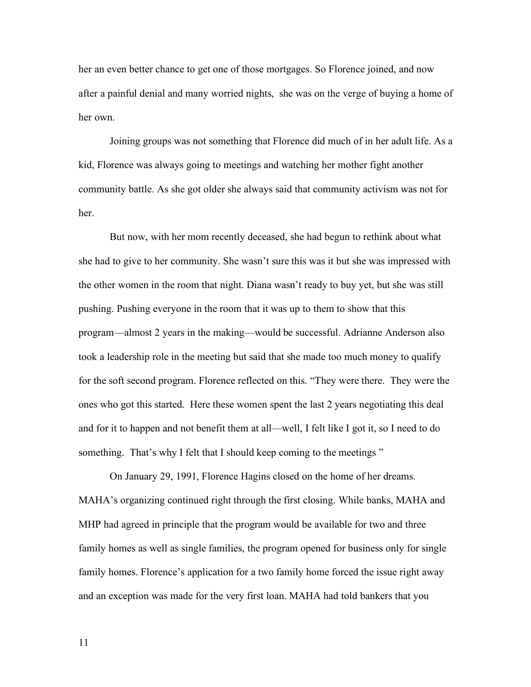her an even better chance to get one of those mortgages. So Florence joined, and now after a painful denial and many worried nights, she was on the verge of buying a home of her own.

Joining groups was not something that Florence did much of in her adult life. As a kid, Florence was always going to meetings and watching her mother fight another community battle. As she got older she always said that community activism was not for her.

But now, with her mom recently deceased, she had begun to rethink about what she had to give to her community. She wasn't sure this was it but she was impressed with the other women in the room that night. Diana wasn't ready to buy yet, but she was still pushing. Pushing everyone in the room that it was up to them to show that this program—almost 2 years in the making—would be successful. Adrianne Anderson also took a leadership role in the meeting but said that she made too much money to qualify for the soft second program. Florence reflected on this. "They were there. They were the ones who got this started. Here these women spent the last 2 years negotiating this deal and for it to happen and not benefit them at all—well, I felt like I got it, so I need to do something. That's why I felt that I should keep coming to the meetings "

On January 29, 1991, Florence Hagins closed on the home of her dreams. MAHA's organizing continued right through the first closing. While banks, MAHA and MHP had agreed in principle that the program would be available for two and three family homes as well as single families, the program opened for business only for single family homes. Florence's application for a two family home forced the issue right away and an exception was made for the very first loan. MAHA had told bankers that you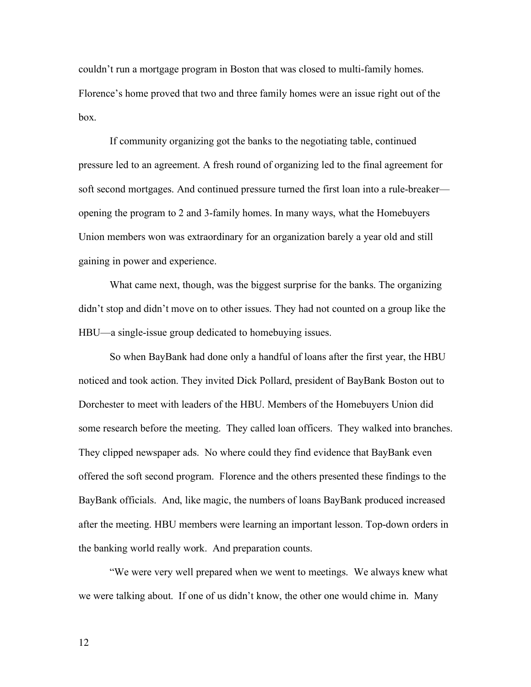couldn't run a mortgage program in Boston that was closed to multi-family homes. Florence's home proved that two and three family homes were an issue right out of the box.

If community organizing got the banks to the negotiating table, continued pressure led to an agreement. A fresh round of organizing led to the final agreement for soft second mortgages. And continued pressure turned the first loan into a rule-breaker opening the program to 2 and 3-family homes. In many ways, what the Homebuyers Union members won was extraordinary for an organization barely a year old and still gaining in power and experience.

What came next, though, was the biggest surprise for the banks. The organizing didn't stop and didn't move on to other issues. They had not counted on a group like the HBU—a single-issue group dedicated to homebuying issues.

So when BayBank had done only a handful of loans after the first year, the HBU noticed and took action. They invited Dick Pollard, president of BayBank Boston out to Dorchester to meet with leaders of the HBU. Members of the Homebuyers Union did some research before the meeting. They called loan officers. They walked into branches. They clipped newspaper ads. No where could they find evidence that BayBank even offered the soft second program. Florence and the others presented these findings to the BayBank officials. And, like magic, the numbers of loans BayBank produced increased after the meeting. HBU members were learning an important lesson. Top-down orders in the banking world really work. And preparation counts.

"We were very well prepared when we went to meetings. We always knew what we were talking about. If one of us didn't know, the other one would chime in. Many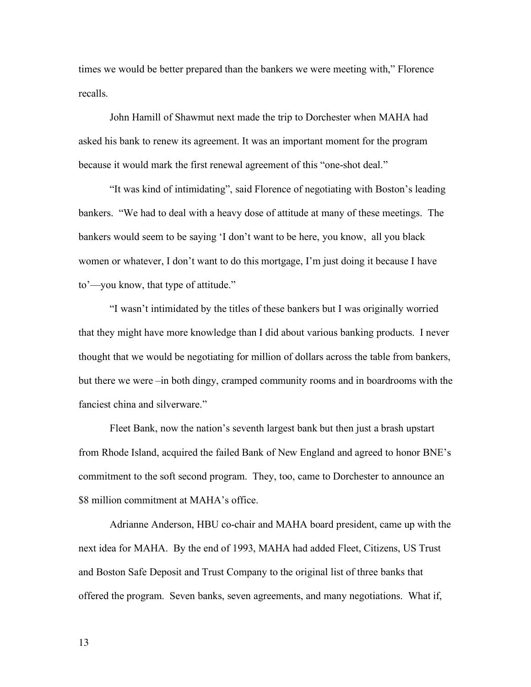times we would be better prepared than the bankers we were meeting with," Florence recalls.

John Hamill of Shawmut next made the trip to Dorchester when MAHA had asked his bank to renew its agreement. It was an important moment for the program because it would mark the first renewal agreement of this "one-shot deal."

"It was kind of intimidating", said Florence of negotiating with Boston's leading bankers. "We had to deal with a heavy dose of attitude at many of these meetings. The bankers would seem to be saying 'I don't want to be here, you know, all you black women or whatever, I don't want to do this mortgage, I'm just doing it because I have to'—you know, that type of attitude."

"I wasn't intimidated by the titles of these bankers but I was originally worried that they might have more knowledge than I did about various banking products. I never thought that we would be negotiating for million of dollars across the table from bankers, but there we were –in both dingy, cramped community rooms and in boardrooms with the fanciest china and silverware."

Fleet Bank, now the nation's seventh largest bank but then just a brash upstart from Rhode Island, acquired the failed Bank of New England and agreed to honor BNE's commitment to the soft second program. They, too, came to Dorchester to announce an \$8 million commitment at MAHA's office.

Adrianne Anderson, HBU co-chair and MAHA board president, came up with the next idea for MAHA. By the end of 1993, MAHA had added Fleet, Citizens, US Trust and Boston Safe Deposit and Trust Company to the original list of three banks that offered the program. Seven banks, seven agreements, and many negotiations. What if,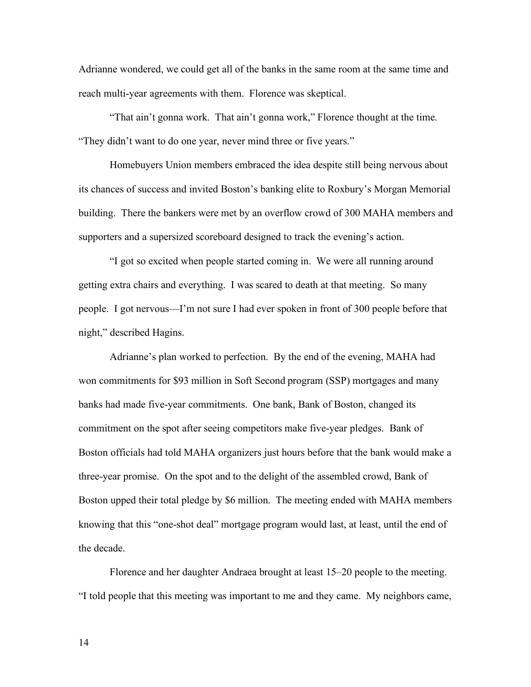Adrianne wondered, we could get all of the banks in the same room at the same time and reach multi-year agreements with them. Florence was skeptical.

"That ain't gonna work. That ain't gonna work," Florence thought at the time. "They didn't want to do one year, never mind three or five years."

Homebuyers Union members embraced the idea despite still being nervous about its chances of success and invited Boston's banking elite to Roxbury's Morgan Memorial building. There the bankers were met by an overflow crowd of 300 MAHA members and supporters and a supersized scoreboard designed to track the evening's action.

"I got so excited when people started coming in. We were all running around getting extra chairs and everything. I was scared to death at that meeting. So many people. I got nervous—I'm not sure I had ever spoken in front of 300 people before that night," described Hagins.

Adrianne's plan worked to perfection. By the end of the evening, MAHA had won commitments for \$93 million in Soft Second program (SSP) mortgages and many banks had made five-year commitments. One bank, Bank of Boston, changed its commitment on the spot after seeing competitors make five-year pledges. Bank of Boston officials had told MAHA organizers just hours before that the bank would make a three-year promise. On the spot and to the delight of the assembled crowd, Bank of Boston upped their total pledge by \$6 million. The meeting ended with MAHA members knowing that this "one-shot deal" mortgage program would last, at least, until the end of the decade.

Florence and her daughter Andraea brought at least 15–20 people to the meeting. "I told people that this meeting was important to me and they came. My neighbors came,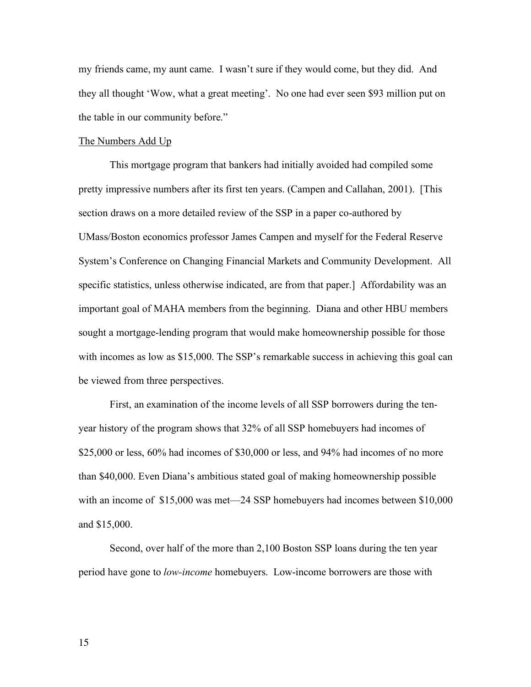my friends came, my aunt came. I wasn't sure if they would come, but they did. And they all thought 'Wow, what a great meeting'. No one had ever seen \$93 million put on the table in our community before."

#### The Numbers Add Up

This mortgage program that bankers had initially avoided had compiled some pretty impressive numbers after its first ten years. (Campen and Callahan, 2001). [This section draws on a more detailed review of the SSP in a paper co-authored by UMass/Boston economics professor James Campen and myself for the Federal Reserve System's Conference on Changing Financial Markets and Community Development. All specific statistics, unless otherwise indicated, are from that paper.] Affordability was an important goal of MAHA members from the beginning. Diana and other HBU members sought a mortgage-lending program that would make homeownership possible for those with incomes as low as \$15,000. The SSP's remarkable success in achieving this goal can be viewed from three perspectives.

First, an examination of the income levels of all SSP borrowers during the tenyear history of the program shows that 32% of all SSP homebuyers had incomes of \$25,000 or less, 60% had incomes of \$30,000 or less, and 94% had incomes of no more than \$40,000. Even Diana's ambitious stated goal of making homeownership possible with an income of \$15,000 was met—24 SSP homebuyers had incomes between \$10,000 and \$15,000.

Second, over half of the more than 2,100 Boston SSP loans during the ten year period have gone to *low-income* homebuyers. Low-income borrowers are those with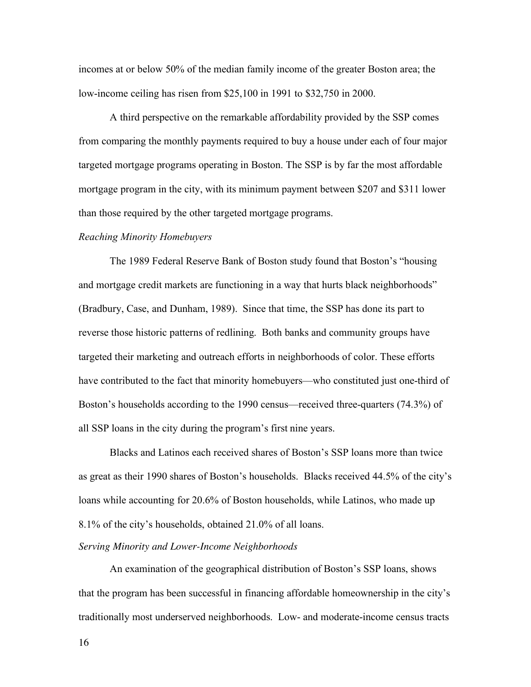incomes at or below 50% of the median family income of the greater Boston area; the low-income ceiling has risen from \$25,100 in 1991 to \$32,750 in 2000.

A third perspective on the remarkable affordability provided by the SSP comes from comparing the monthly payments required to buy a house under each of four major targeted mortgage programs operating in Boston. The SSP is by far the most affordable mortgage program in the city, with its minimum payment between \$207 and \$311 lower than those required by the other targeted mortgage programs.

#### *Reaching Minority Homebuyers*

The 1989 Federal Reserve Bank of Boston study found that Boston's "housing and mortgage credit markets are functioning in a way that hurts black neighborhoods" (Bradbury, Case, and Dunham, 1989). Since that time, the SSP has done its part to reverse those historic patterns of redlining. Both banks and community groups have targeted their marketing and outreach efforts in neighborhoods of color. These efforts have contributed to the fact that minority homebuyers—who constituted just one-third of Boston's households according to the 1990 census—received three-quarters (74.3%) of all SSP loans in the city during the program's first nine years.

Blacks and Latinos each received shares of Boston's SSP loans more than twice as great as their 1990 shares of Boston's households. Blacks received 44.5% of the city's loans while accounting for 20.6% of Boston households, while Latinos, who made up 8.1% of the city's households, obtained 21.0% of all loans.

# *Serving Minority and Lower-Income Neighborhoods*

An examination of the geographical distribution of Boston's SSP loans, shows that the program has been successful in financing affordable homeownership in the city's traditionally most underserved neighborhoods. Low- and moderate-income census tracts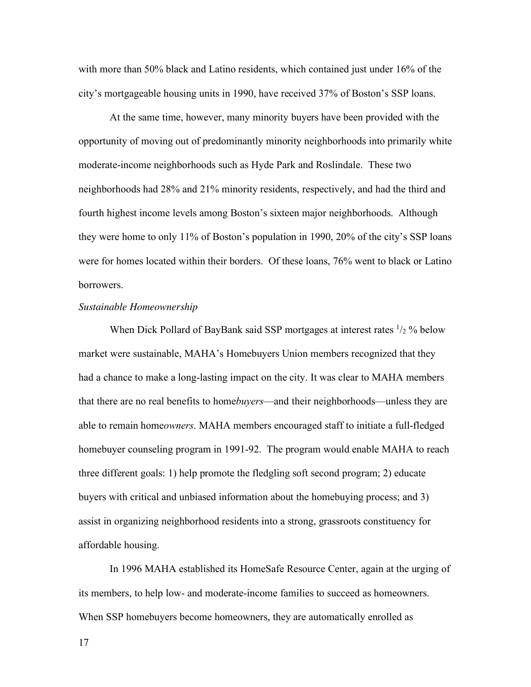with more than 50% black and Latino residents, which contained just under 16% of the city's mortgageable housing units in 1990, have received 37% of Boston's SSP loans.

At the same time, however, many minority buyers have been provided with the opportunity of moving out of predominantly minority neighborhoods into primarily white moderate-income neighborhoods such as Hyde Park and Roslindale. These two neighborhoods had 28% and 21% minority residents, respectively, and had the third and fourth highest income levels among Boston's sixteen major neighborhoods. Although they were home to only 11% of Boston's population in 1990, 20% of the city's SSP loans were for homes located within their borders. Of these loans, 76% went to black or Latino **borrowers** 

# *Sustainable Homeownership*

When Dick Pollard of BayBank said SSP mortgages at interest rates  $\frac{1}{2}$ % below market were sustainable, MAHA's Homebuyers Union members recognized that they had a chance to make a long-lasting impact on the city. It was clear to MAHA members that there are no real benefits to home*buyers*—and their neighborhoods—unless they are able to remain home*owners*. MAHA members encouraged staff to initiate a full-fledged homebuyer counseling program in 1991-92. The program would enable MAHA to reach three different goals: 1) help promote the fledgling soft second program; 2) educate buyers with critical and unbiased information about the homebuying process; and 3) assist in organizing neighborhood residents into a strong, grassroots constituency for affordable housing.

In 1996 MAHA established its HomeSafe Resource Center, again at the urging of its members, to help low- and moderate-income families to succeed as homeowners. When SSP homebuyers become homeowners, they are automatically enrolled as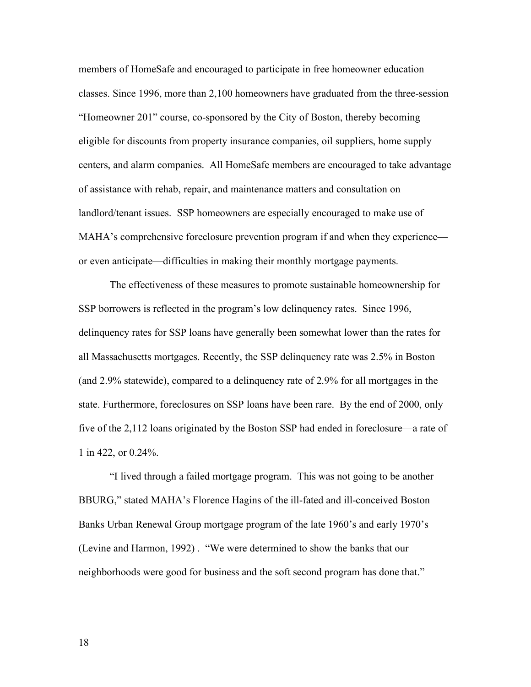members of HomeSafe and encouraged to participate in free homeowner education classes. Since 1996, more than 2,100 homeowners have graduated from the three-session "Homeowner 201" course, co-sponsored by the City of Boston, thereby becoming eligible for discounts from property insurance companies, oil suppliers, home supply centers, and alarm companies. All HomeSafe members are encouraged to take advantage of assistance with rehab, repair, and maintenance matters and consultation on landlord/tenant issues. SSP homeowners are especially encouraged to make use of MAHA's comprehensive foreclosure prevention program if and when they experience or even anticipate—difficulties in making their monthly mortgage payments.

The effectiveness of these measures to promote sustainable homeownership for SSP borrowers is reflected in the program's low delinquency rates. Since 1996, delinquency rates for SSP loans have generally been somewhat lower than the rates for all Massachusetts mortgages. Recently, the SSP delinquency rate was 2.5% in Boston (and 2.9% statewide), compared to a delinquency rate of 2.9% for all mortgages in the state. Furthermore, foreclosures on SSP loans have been rare. By the end of 2000, only five of the 2,112 loans originated by the Boston SSP had ended in foreclosure—a rate of 1 in 422, or 0.24%.

"I lived through a failed mortgage program. This was not going to be another BBURG," stated MAHA's Florence Hagins of the ill-fated and ill-conceived Boston Banks Urban Renewal Group mortgage program of the late 1960's and early 1970's (Levine and Harmon, 1992) . "We were determined to show the banks that our neighborhoods were good for business and the soft second program has done that."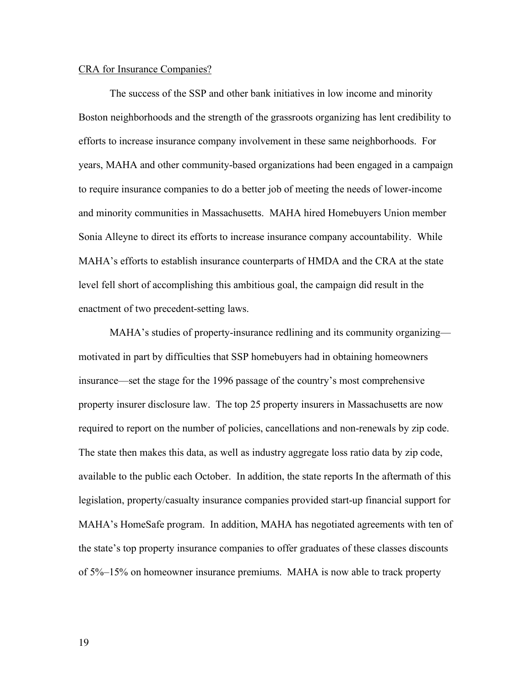# CRA for Insurance Companies?

The success of the SSP and other bank initiatives in low income and minority Boston neighborhoods and the strength of the grassroots organizing has lent credibility to efforts to increase insurance company involvement in these same neighborhoods. For years, MAHA and other community-based organizations had been engaged in a campaign to require insurance companies to do a better job of meeting the needs of lower-income and minority communities in Massachusetts. MAHA hired Homebuyers Union member Sonia Alleyne to direct its efforts to increase insurance company accountability. While MAHA's efforts to establish insurance counterparts of HMDA and the CRA at the state level fell short of accomplishing this ambitious goal, the campaign did result in the enactment of two precedent-setting laws.

MAHA's studies of property-insurance redlining and its community organizing motivated in part by difficulties that SSP homebuyers had in obtaining homeowners insurance—set the stage for the 1996 passage of the country's most comprehensive property insurer disclosure law. The top 25 property insurers in Massachusetts are now required to report on the number of policies, cancellations and non-renewals by zip code. The state then makes this data, as well as industry aggregate loss ratio data by zip code, available to the public each October. In addition, the state reports In the aftermath of this legislation, property/casualty insurance companies provided start-up financial support for MAHA's HomeSafe program. In addition, MAHA has negotiated agreements with ten of the state's top property insurance companies to offer graduates of these classes discounts of 5%–15% on homeowner insurance premiums. MAHA is now able to track property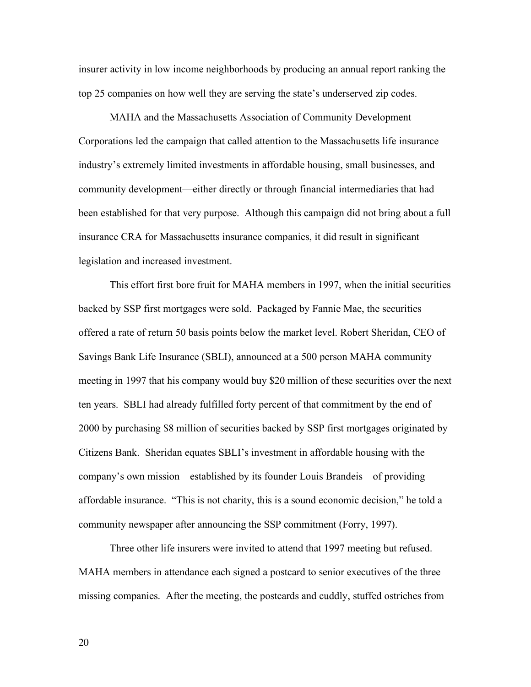insurer activity in low income neighborhoods by producing an annual report ranking the top 25 companies on how well they are serving the state's underserved zip codes.

MAHA and the Massachusetts Association of Community Development Corporations led the campaign that called attention to the Massachusetts life insurance industry's extremely limited investments in affordable housing, small businesses, and community development—either directly or through financial intermediaries that had been established for that very purpose. Although this campaign did not bring about a full insurance CRA for Massachusetts insurance companies, it did result in significant legislation and increased investment.

This effort first bore fruit for MAHA members in 1997, when the initial securities backed by SSP first mortgages were sold. Packaged by Fannie Mae, the securities offered a rate of return 50 basis points below the market level. Robert Sheridan, CEO of Savings Bank Life Insurance (SBLI), announced at a 500 person MAHA community meeting in 1997 that his company would buy \$20 million of these securities over the next ten years. SBLI had already fulfilled forty percent of that commitment by the end of 2000 by purchasing \$8 million of securities backed by SSP first mortgages originated by Citizens Bank. Sheridan equates SBLI's investment in affordable housing with the company's own mission—established by its founder Louis Brandeis—of providing affordable insurance. "This is not charity, this is a sound economic decision," he told a community newspaper after announcing the SSP commitment (Forry, 1997).

Three other life insurers were invited to attend that 1997 meeting but refused. MAHA members in attendance each signed a postcard to senior executives of the three missing companies. After the meeting, the postcards and cuddly, stuffed ostriches from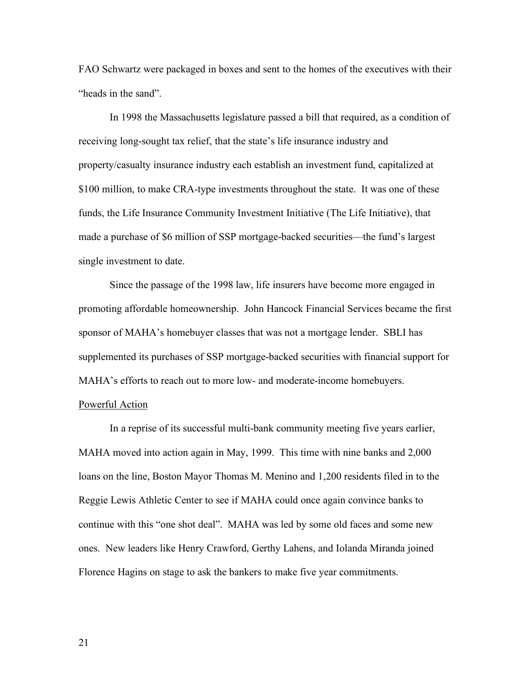FAO Schwartz were packaged in boxes and sent to the homes of the executives with their "heads in the sand".

In 1998 the Massachusetts legislature passed a bill that required, as a condition of receiving long-sought tax relief, that the state's life insurance industry and property/casualty insurance industry each establish an investment fund, capitalized at \$100 million, to make CRA-type investments throughout the state. It was one of these funds, the Life Insurance Community Investment Initiative (The Life Initiative), that made a purchase of \$6 million of SSP mortgage-backed securities—the fund's largest single investment to date.

Since the passage of the 1998 law, life insurers have become more engaged in promoting affordable homeownership. John Hancock Financial Services became the first sponsor of MAHA's homebuyer classes that was not a mortgage lender. SBLI has supplemented its purchases of SSP mortgage-backed securities with financial support for MAHA's efforts to reach out to more low- and moderate-income homebuyers.

# Powerful Action

In a reprise of its successful multi-bank community meeting five years earlier, MAHA moved into action again in May, 1999. This time with nine banks and 2,000 loans on the line, Boston Mayor Thomas M. Menino and 1,200 residents filed in to the Reggie Lewis Athletic Center to see if MAHA could once again convince banks to continue with this "one shot deal". MAHA was led by some old faces and some new ones. New leaders like Henry Crawford, Gerthy Lahens, and Iolanda Miranda joined Florence Hagins on stage to ask the bankers to make five year commitments.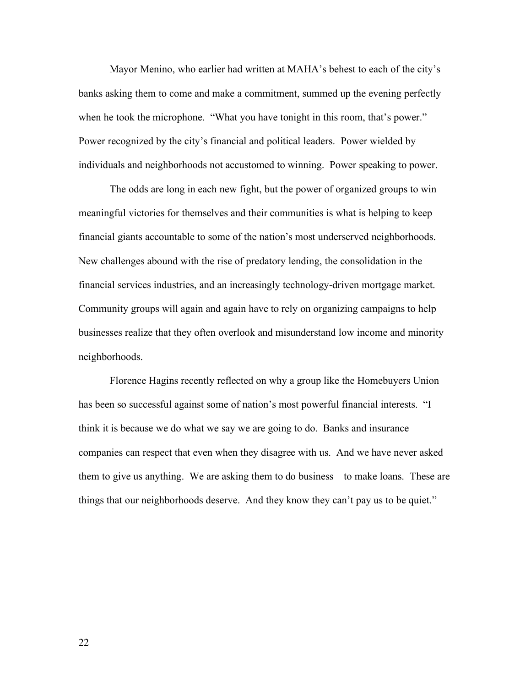Mayor Menino, who earlier had written at MAHA's behest to each of the city's banks asking them to come and make a commitment, summed up the evening perfectly when he took the microphone. "What you have tonight in this room, that's power." Power recognized by the city's financial and political leaders. Power wielded by individuals and neighborhoods not accustomed to winning. Power speaking to power.

The odds are long in each new fight, but the power of organized groups to win meaningful victories for themselves and their communities is what is helping to keep financial giants accountable to some of the nation's most underserved neighborhoods. New challenges abound with the rise of predatory lending, the consolidation in the financial services industries, and an increasingly technology-driven mortgage market. Community groups will again and again have to rely on organizing campaigns to help businesses realize that they often overlook and misunderstand low income and minority neighborhoods.

Florence Hagins recently reflected on why a group like the Homebuyers Union has been so successful against some of nation's most powerful financial interests. "I think it is because we do what we say we are going to do. Banks and insurance companies can respect that even when they disagree with us. And we have never asked them to give us anything. We are asking them to do business—to make loans. These are things that our neighborhoods deserve. And they know they can't pay us to be quiet."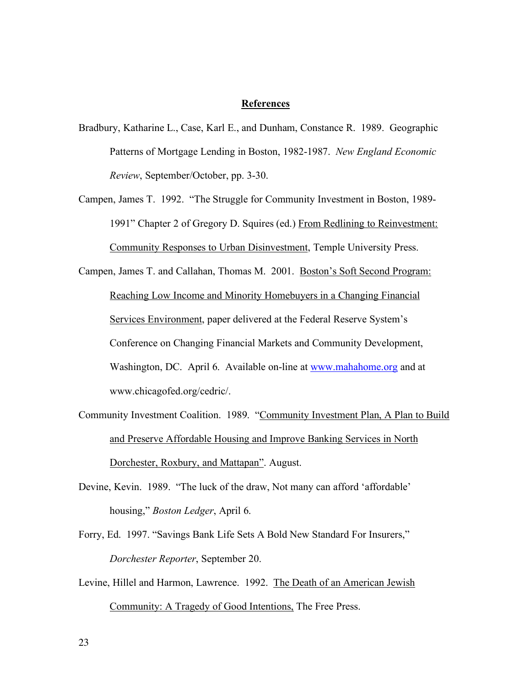# **References**

- Bradbury, Katharine L., Case, Karl E., and Dunham, Constance R. 1989. Geographic Patterns of Mortgage Lending in Boston, 1982-1987. *New England Economic Review*, September/October, pp. 3-30.
- Campen, James T. 1992. "The Struggle for Community Investment in Boston, 1989- 1991" Chapter 2 of Gregory D. Squires (ed.) From Redlining to Reinvestment: Community Responses to Urban Disinvestment, Temple University Press.

Campen, James T. and Callahan, Thomas M. 2001. Boston's Soft Second Program: Reaching Low Income and Minority Homebuyers in a Changing Financial Services Environment, paper delivered at the Federal Reserve System's Conference on Changing Financial Markets and Community Development, Washington, DC. April 6. Available on-line at www.mahahome.org and at www.chicagofed.org/cedric/.

- Community Investment Coalition. 1989. "Community Investment Plan, A Plan to Build and Preserve Affordable Housing and Improve Banking Services in North Dorchester, Roxbury, and Mattapan". August.
- Devine, Kevin. 1989. "The luck of the draw, Not many can afford 'affordable' housing," *Boston Ledger*, April 6.
- Forry, Ed. 1997. "Savings Bank Life Sets A Bold New Standard For Insurers," *Dorchester Reporter*, September 20.
- Levine, Hillel and Harmon, Lawrence. 1992. The Death of an American Jewish Community: A Tragedy of Good Intentions, The Free Press.